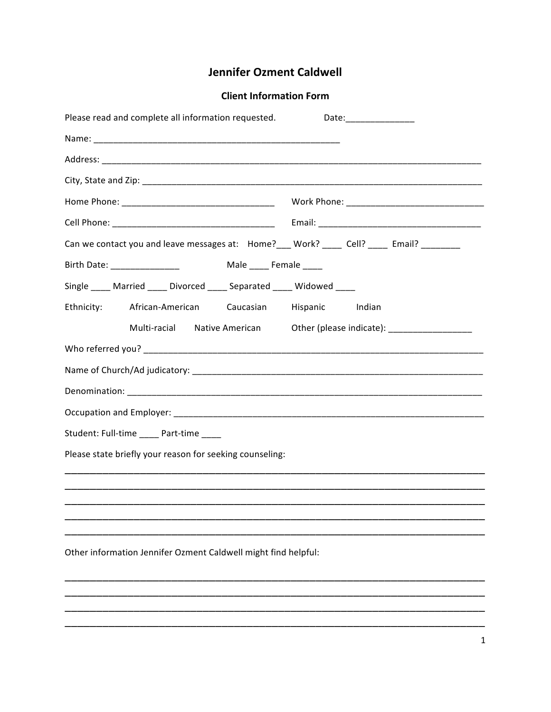## **Jennifer Ozment Caldwell**

## **Client Information Form**

| Please read and complete all information requested.                                     | Date:___________________                                                                                         |  |
|-----------------------------------------------------------------------------------------|------------------------------------------------------------------------------------------------------------------|--|
|                                                                                         |                                                                                                                  |  |
|                                                                                         |                                                                                                                  |  |
|                                                                                         |                                                                                                                  |  |
|                                                                                         |                                                                                                                  |  |
|                                                                                         |                                                                                                                  |  |
| Can we contact you and leave messages at: Home?___ Work? ____ Cell? ____ Email? _______ |                                                                                                                  |  |
| Male ______ Female _____<br>Birth Date: ________________                                |                                                                                                                  |  |
| Single ____ Married ____ Divorced ____ Separated ____ Widowed ____                      |                                                                                                                  |  |
| Ethnicity:<br>African-American Caucasian                                                | Hispanic Indian                                                                                                  |  |
|                                                                                         | Multi-racial Native American Other (please indicate): [100] Multi-racial Native American Other (please indicate) |  |
|                                                                                         |                                                                                                                  |  |
|                                                                                         |                                                                                                                  |  |
|                                                                                         |                                                                                                                  |  |
|                                                                                         |                                                                                                                  |  |
| Student: Full-time _____ Part-time ____                                                 |                                                                                                                  |  |
| Please state briefly your reason for seeking counseling:                                |                                                                                                                  |  |
|                                                                                         |                                                                                                                  |  |
|                                                                                         |                                                                                                                  |  |
|                                                                                         |                                                                                                                  |  |
|                                                                                         |                                                                                                                  |  |
| Other information Jennifer Ozment Caldwell might find helpful:                          |                                                                                                                  |  |
|                                                                                         |                                                                                                                  |  |
|                                                                                         |                                                                                                                  |  |